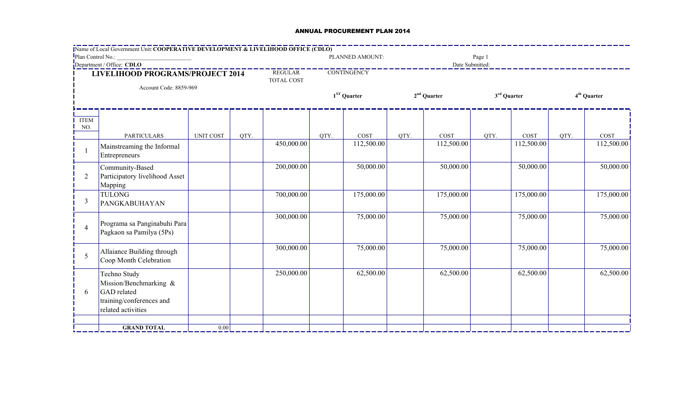## ANNUAL PROCUREMENT PLAN 2014

|                                                            | <b>Name of Local Government Unit: COOPERATIVE DEVELOPMENT &amp; LIVELIHOOD OFFICE (CDLO)</b>            |                  |                                    |                    |      |                 |      |                         |        |                         |      |            |  |
|------------------------------------------------------------|---------------------------------------------------------------------------------------------------------|------------------|------------------------------------|--------------------|------|-----------------|------|-------------------------|--------|-------------------------|------|------------|--|
| Plan Control No.:                                          |                                                                                                         |                  |                                    |                    |      | PLANNED AMOUNT: |      |                         | Page 1 |                         |      |            |  |
| Department / Office: CDLO                                  |                                                                                                         |                  |                                    | <b>CONTINGENCY</b> |      | Date Submitted: |      |                         |        |                         |      |            |  |
| LIVELIHOOD PROGRAMS/PROJECT 2014<br>Account Code: 8859-969 |                                                                                                         |                  | REGULAR <sup>-</sup><br>TOTAL COST |                    |      |                 |      |                         |        |                         |      |            |  |
|                                                            |                                                                                                         |                  |                                    | $1ST$ Quarter      |      | $2nd$ Quarter   |      | 3 <sup>rd</sup> Quarter |        | 4 <sup>th</sup> Quarter |      |            |  |
| <b>ITEM</b><br>NO.                                         |                                                                                                         |                  |                                    |                    |      |                 |      |                         |        |                         |      |            |  |
|                                                            | <b>PARTICULARS</b>                                                                                      | <b>UNIT COST</b> | QTY.                               |                    | QTY. | COST            | QTY. | COST                    | QTY.   | COST                    | QTY. | COST       |  |
|                                                            | Mainstreaming the Informal<br>Entrepreneurs                                                             |                  |                                    | 450,000.00         |      | 112,500.00      |      | 112,500.00              |        | 112,500.00              |      | 112,500.00 |  |
| 2                                                          | Community-Based<br>Participatory livelihood Asset<br>Mapping                                            |                  |                                    | 200,000.00         |      | 50,000.00       |      | 50,000.00               |        | 50,000.00               |      | 50,000.00  |  |
| 3                                                          | <b>TULONG</b><br>PANGKABUHAYAN                                                                          |                  |                                    | 700,000.00         |      | 175,000.00      |      | 175,000.00              |        | 175,000.00              |      | 175,000.00 |  |
| 4                                                          | Programa sa Panginabuhi Para<br>Pagkaon sa Pamilya (5Ps)                                                |                  |                                    | 300,000.00         |      | 75,000.00       |      | 75,000.00               |        | 75,000.00               |      | 75,000.00  |  |
| 5                                                          | Allaiance Building through<br>Coop Month Celebration                                                    |                  |                                    | 300,000.00         |      | 75,000.00       |      | 75,000.00               |        | 75,000.00               |      | 75,000.00  |  |
| 6                                                          | Techno Study<br>Mission/Benchmarking &<br>GAD related<br>training/conferences and<br>related activities |                  |                                    | 250,000.00         |      | 62,500.00       |      | 62,500.00               |        | 62,500.00               |      | 62,500.00  |  |
|                                                            |                                                                                                         |                  |                                    |                    |      |                 |      |                         |        |                         |      |            |  |
|                                                            | <b>GRAND TOTAL</b>                                                                                      | $0.00\,$         |                                    |                    |      |                 |      |                         |        |                         |      |            |  |